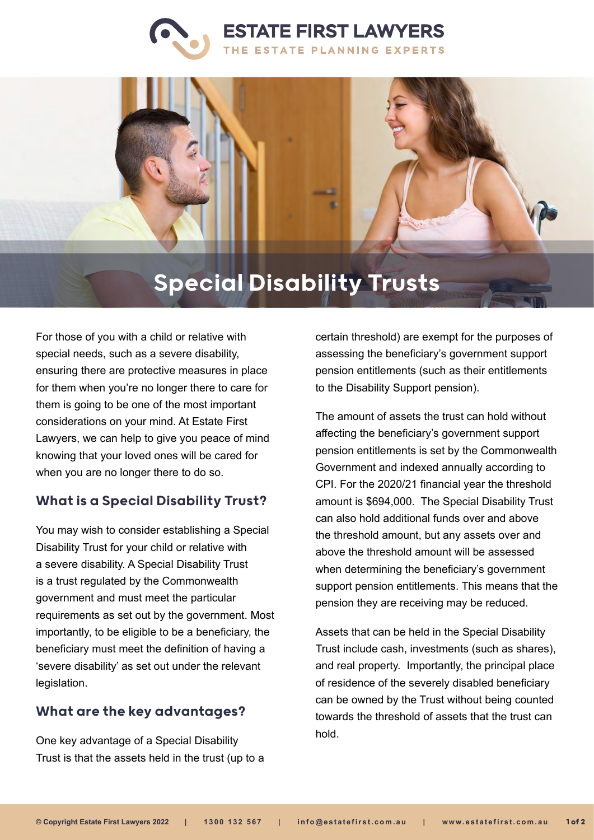



# Special Disability Trusts

For those of you with a child or relative with special needs, such as a severe disability, ensuring there are protective measures in place for them when you're no longer there to care for them is going to be one of the most important considerations on your mind. At Estate First Lawyers, we can help to give you peace of mind knowing that your loved ones will be cared for when you are no longer there to do so.

#### What is a Special Disability Trust?

You may wish to consider establishing a Special Disability Trust for your child or relative with a severe disability. A Special Disability Trust is a trust regulated by the Commonwealth government and must meet the particular requirements as set out by the government. Most importantly, to be eligible to be a beneficiary, the beneficiary must meet the definition of having a 'severe disability' as set out under the relevant legislation.

## What are the key advantages?

One key advantage of a Special Disability Trust is that the assets held in the trust (up to a certain threshold) are exempt for the purposes of assessing the beneficiary's government support pension entitlements (such as their entitlements to the Disability Support pension).

The amount of assets the trust can hold without affecting the beneficiary's government support pension entitlements is set by the Commonwealth Government and indexed annually according to CPI. For the 2020/21 financial year the threshold amount is \$694,000. The Special Disability Trust can also hold additional funds over and above the threshold amount, but any assets over and above the threshold amount will be assessed when determining the beneficiary's government support pension entitlements. This means that the pension they are receiving may be reduced.

Assets that can be held in the Special Disability Trust include cash, investments (such as shares), and real property. Importantly, the principal place of residence of the severely disabled beneficiary can be owned by the Trust without being counted towards the threshold of assets that the trust can hold.